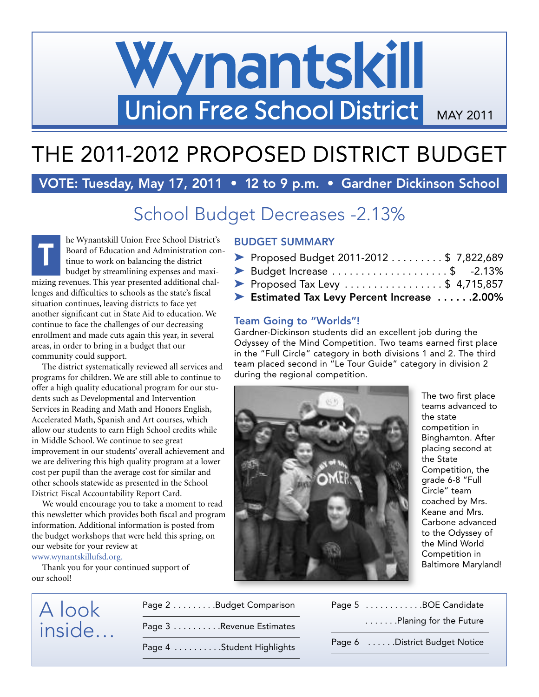# Wynantskill Union Free School District MAY 2011

# THE 2011-2012 PROPOSED DISTRICT BUDGET

# **VOTE: Tuesday, May 17, 2011 • 12 to 9 p.m. • Gardner Dickinson School**

# School Budget Decreases -2.13%

he Wynantskill Union Free School District's Board of Education and Administration continue to work on balancing the district budget by streamlining expenses and maximizing revenues. This year presented additional challenges and difficulties to schools as the state's fiscal situation continues, leaving districts to face yet another significant cut in State Aid to education. We continue to face the challenges of our decreasing enrollment and made cuts again this year, in several areas, in order to bring in a budget that our community could support. **T**

The district systematically reviewed all services and programs for children. We are still able to continue to offer a high quality educational program for our students such as Developmental and Intervention Services in Reading and Math and Honors English, Accelerated Math, Spanish and Art courses, which allow our students to earn High School credits while in Middle School. We continue to see great improvement in our students' overall achievement and we are delivering this high quality program at a lower cost per pupil than the average cost for similar and other schools statewide as presented in the School District Fiscal Accountability Report Card.

We would encourage you to take a moment to read this newsletter which provides both fiscal and program information. Additional information is posted from the budget workshops that were held this spring, on our website for your review at

www.wynantskillufsd.org.

Thank you for your continued support of our school!

### **BUDGET SUMMARY**

| Proposed Budget 2011-2012 \$ 7,822,689                     |  |
|------------------------------------------------------------|--|
| Budget Increase $\ldots$ \$ -2.13%                         |  |
| Proposed Tax Levy $\dots\dots\dots\dots\dots$ \$ 4,715,857 |  |
| Estimated Tax Levy Percent Increase 2.00%                  |  |

#### **Team Going to "Worlds"!**

Gardner-Dickinson students did an excellent job during the Odyssey of the Mind Competition. Two teams earned first place in the "Full Circle" category in both divisions 1 and 2. The third team placed second in "Le Tour Guide" category in division 2 during the regional competition.



The two first place teams advanced to the state competition in Binghamton. After placing second at the State Competition, the grade 6-8 "Full Circle" team coached by Mrs. Keane and Mrs. Carbone advanced to the Odyssey of the Mind World Competition in Baltimore Maryland!

# A look inside…

Page 2 . . . . . . . . . Budget Comparison Page 3 . . . . . . . . . . Revenue Estimates Page 4 . . . . . . . . . . . Student Highlights

| Page 5 BOE Candidate          |
|-------------------------------|
| Planing for the Future        |
| Page 6 District Budget Notice |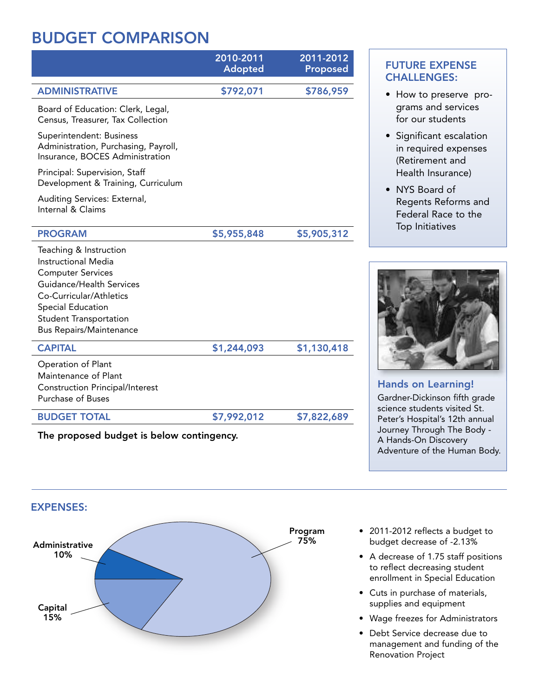# **BUDGET COMPARISON**

|                                                                                                                                                                                                                          | 2010-2011<br><b>Adopted</b> | 2011-2012<br><b>Proposed</b> |
|--------------------------------------------------------------------------------------------------------------------------------------------------------------------------------------------------------------------------|-----------------------------|------------------------------|
| <b>ADMINISTRATIVE</b>                                                                                                                                                                                                    | \$792,071                   | \$786,959                    |
| Board of Education: Clerk, Legal,<br>Census, Treasurer, Tax Collection                                                                                                                                                   |                             |                              |
| Superintendent: Business<br>Administration, Purchasing, Payroll,<br>Insurance, BOCES Administration                                                                                                                      |                             |                              |
| Principal: Supervision, Staff<br>Development & Training, Curriculum                                                                                                                                                      |                             |                              |
| Auditing Services: External,<br>Internal & Claims                                                                                                                                                                        |                             |                              |
| <b>PROGRAM</b>                                                                                                                                                                                                           | \$5,955,848                 | \$5,905,312                  |
| Teaching & Instruction<br>Instructional Media<br><b>Computer Services</b><br>Guidance/Health Services<br>Co-Curricular/Athletics<br>Special Education<br><b>Student Transportation</b><br><b>Bus Repairs/Maintenance</b> |                             |                              |
| <b>CAPITAL</b>                                                                                                                                                                                                           | \$1,244,093                 | \$1,130,418                  |
| Operation of Plant<br>Maintenance of Plant<br><b>Construction Principal/Interest</b><br><b>Purchase of Buses</b>                                                                                                         |                             |                              |
| <b>BUDGET TOTAL</b>                                                                                                                                                                                                      | \$7,992,012                 | \$7,822,689                  |
| The proposed budget is below contingency.                                                                                                                                                                                |                             |                              |

## **FUTURE EXPENSE CHALLENGES:**

- How to preserve programs and services for our students
- Significant escalation in required expenses (Retirement and Health Insurance)
- NYS Board of Regents Reforms and Federal Race to the Top Initiatives



## **Hands on Learning!**

Gardner-Dickinson fifth grade science students visited St. Peter's Hospital's 12th annual Journey Through The Body - A Hands-On Discovery Adventure of the Human Body.



- 2011-2012 reflects a budget to budget decrease of -2.13%
- A decrease of 1.75 staff positions to reflect decreasing student enrollment in Special Education
- Cuts in purchase of materials, supplies and equipment
- Wage freezes for Administrators
- Debt Service decrease due to management and funding of the Renovation Project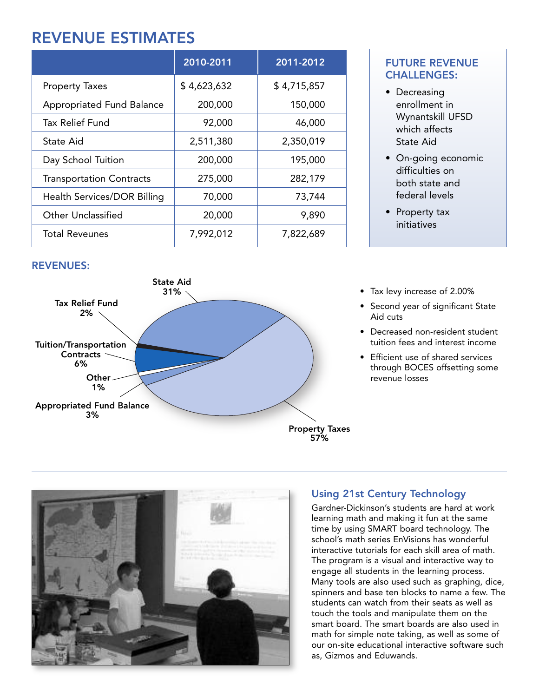# **REVENUE ESTIMATES**

|                                  | 2010-2011   | 2011-2012   |
|----------------------------------|-------------|-------------|
| <b>Property Taxes</b>            | \$4,623,632 | \$4,715,857 |
| <b>Appropriated Fund Balance</b> | 200,000     | 150,000     |
| <b>Tax Relief Fund</b>           | 92,000      | 46,000      |
| State Aid                        | 2,511,380   | 2,350,019   |
| Day School Tuition               | 200,000     | 195,000     |
| <b>Transportation Contracts</b>  | 275,000     | 282,179     |
| Health Services/DOR Billing      | 70,000      | 73,744      |
| <b>Other Unclassified</b>        | 20,000      | 9,890       |
| <b>Total Reveunes</b>            | 7,992,012   | 7,822,689   |

#### **REVENUES:**



## **2010-2011 2011-2012 FUTURE REVENUE CHALLENGES:**

- Decreasing enrollment in Wynantskill UFSD which affects State Aid
- On-going economic difficulties on both state and federal levels
- Property tax initiatives
- Tax levy increase of 2.00%
- Second year of significant State Aid cuts
- Decreased non-resident student tuition fees and interest income
- Efficient use of shared services through BOCES offsetting some revenue losses



## **Using 21st Century Technology**

Gardner-Dickinson's students are hard at work learning math and making it fun at the same time by using SMART board technology. The school's math series EnVisions has wonderful interactive tutorials for each skill area of math. The program is a visual and interactive way to engage all students in the learning process. Many tools are also used such as graphing, dice, spinners and base ten blocks to name a few. The students can watch from their seats as well as touch the tools and manipulate them on the smart board. The smart boards are also used in math for simple note taking, as well as some of our on-site educational interactive software such as, Gizmos and Eduwands.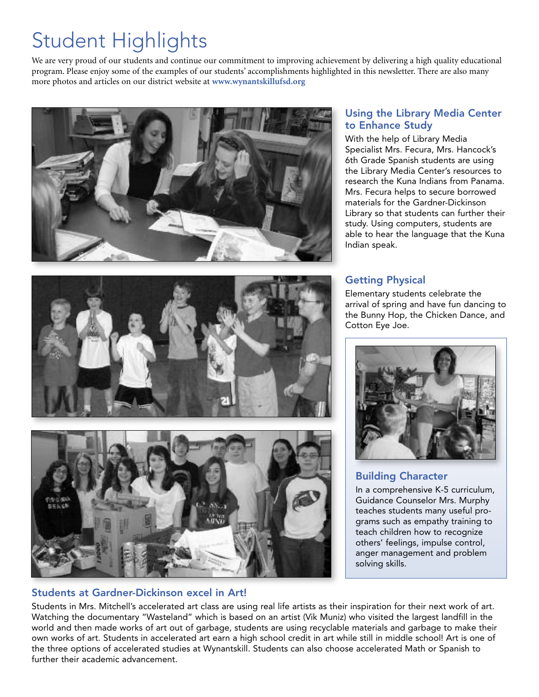# Student Highlights

We are very proud of our students and continue our commitment to improving achievement by delivering a high quality educational program. Please enjoy some of the examples of our students' accomplishments highlighted in this newsletter. There are also many more photos and articles on our district website at **www.wynantskillufsd.org**







### **Students at Gardner-Dickinson excel in Art!**

### **Using the Library Media Center to Enhance Study**

With the help of Library Media Specialist Mrs. Fecura, Mrs. Hancock's 6th Grade Spanish students are using the Library Media Center's resources to research the Kuna Indians from Panama. Mrs. Fecura helps to secure borrowed materials for the Gardner-Dickinson Library so that students can further their study. Using computers, students are able to hear the language that the Kuna Indian speak.

### **Getting Physical**

Elementary students celebrate the arrival of spring and have fun dancing to the Bunny Hop, the Chicken Dance, and Cotton Eye Joe.



## **Building Character**

In a comprehensive K-5 curriculum, Guidance Counselor Mrs. Murphy teaches students many useful programs such as empathy training to teach children how to recognize others' feelings, impulse control, anger management and problem solving skills.

Students in Mrs. Mitchell's accelerated art class are using real life artists as their inspiration for their next work of art. Watching the documentary "Wasteland" which is based on an artist (Vik Muniz) who visited the largest landfill in the world and then made works of art out of garbage, students are using recyclable materials and garbage to make their own works of art. Students in accelerated art earn a high school credit in art while still in middle school! Art is one of the three options of accelerated studies at Wynantskill. Students can also choose accelerated Math or Spanish to further their academic advancement.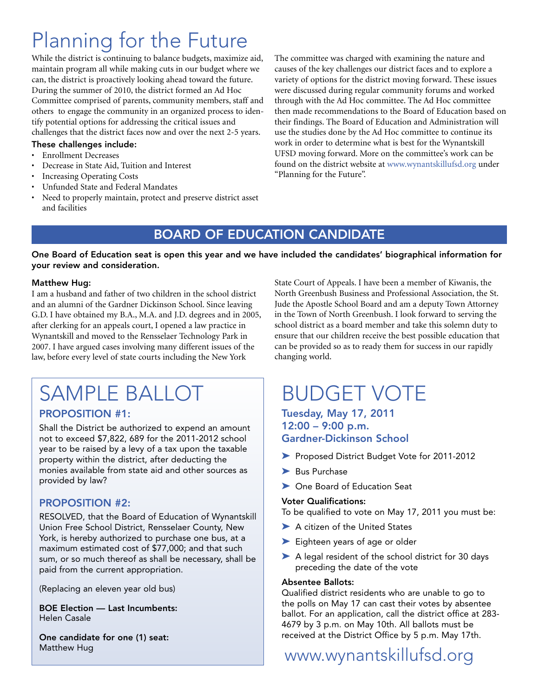# Planning for the Future

While the district is continuing to balance budgets, maximize aid, maintain program all while making cuts in our budget where we can, the district is proactively looking ahead toward the future. During the summer of 2010, the district formed an Ad Hoc Committee comprised of parents, community members, staff and others to engage the community in an organized process to identify potential options for addressing the critical issues and challenges that the district faces now and over the next 2-5 years.

#### **These challenges include:**

- Enrollment Decreases
- Decrease in State Aid, Tuition and Interest
- Increasing Operating Costs
- Unfunded State and Federal Mandates
- Need to properly maintain, protect and preserve district asset and facilities

The committee was charged with examining the nature and causes of the key challenges our district faces and to explore a variety of options for the district moving forward. These issues were discussed during regular community forums and worked through with the Ad Hoc committee. The Ad Hoc committee then made recommendations to the Board of Education based on their findings. The Board of Education and Administration will use the studies done by the Ad Hoc committee to continue its work in order to determine what is best for the Wynantskill UFSD moving forward. More on the committee's work can be found on the district website at www.wynantskillufsd.org under "Planning for the Future".

## **BOARD OF EDUCATION CANDIDATE**

#### One Board of Education seat is open this year and we have included the candidates' biographical information for **your review and consideration.**

#### **Matthew Hug:**

I am a husband and father of two children in the school district and an alumni of the Gardner Dickinson School. Since leaving G.D. I have obtained my B.A., M.A. and J.D. degrees and in 2005, after clerking for an appeals court, I opened a law practice in Wynantskill and moved to the Rensselaer Technology Park in 2007. I have argued cases involving many different issues of the law, before every level of state courts including the New York

# SAMPLE BALLOT

### **PROPOSITION #1:**

Shall the District be authorized to expend an amount not to exceed \$7,822, 689 for the 2011-2012 school year to be raised by a levy of a tax upon the taxable property within the district, after deducting the monies available from state aid and other sources as provided by law?

### **PROPOSITION #2:**

RESOLVED, that the Board of Education of Wynantskill Union Free School District, Rensselaer County, New York, is hereby authorized to purchase one bus, at a maximum estimated cost of \$77,000; and that such sum, or so much thereof as shall be necessary, shall be paid from the current appropriation.

(Replacing an eleven year old bus)

**BOE Election — Last Incumbents:** Helen Casale

**One candidate for one (1) seat:** Matthew Hug

State Court of Appeals. I have been a member of Kiwanis, the North Greenbush Business and Professional Association, the St. Jude the Apostle School Board and am a deputy Town Attorney in the Town of North Greenbush. I look forward to serving the school district as a board member and take this solemn duty to ensure that our children receive the best possible education that can be provided so as to ready them for success in our rapidly changing world.

# BUDGET VOTE

#### **Tuesday, May 17, 2011 12:00 – 9:00 p.m. Gardner-Dickinson School**

- } Proposed District Budget Vote for 2011-2012
- > Bus Purchase
- ▶ One Board of Education Seat

#### **Voter Qualifications:**

To be qualified to vote on May 17, 2011 you must be:

- ▶ A citizen of the United States
- Eighteen years of age or older
- > A legal resident of the school district for 30 days preceding the date of the vote

#### **Absentee Ballots:**

Qualified district residents who are unable to go to the polls on May 17 can cast their votes by absentee ballot. For an application, call the district office at 283- 4679 by 3 p.m. on May 10th. All ballots must be received at the District Office by 5 p.m. May 17th.

# www.wynantskillufsd.org